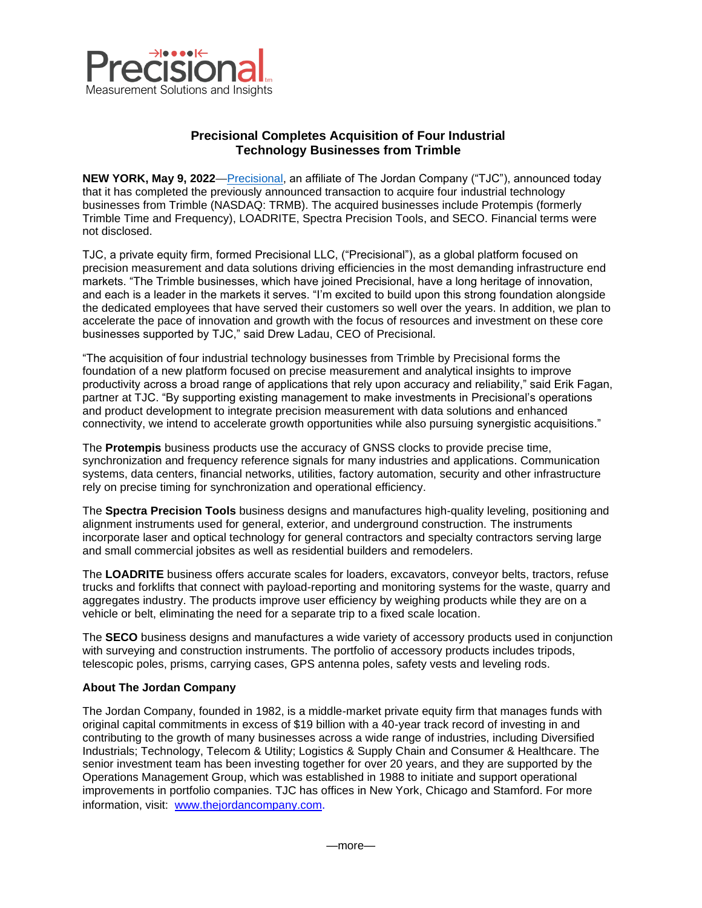

## **Precisional Completes Acquisition of Four Industrial Technology Businesses from Trimble**

**NEW YORK, May 9, 2022**[—Precisional,](http://www.precisional.com/) an affiliate of The Jordan Company ("TJC"), announced today that it has completed the previously announced transaction to acquire four industrial technology businesses from Trimble (NASDAQ: TRMB). The acquired businesses include Protempis (formerly Trimble Time and Frequency), LOADRITE, Spectra Precision Tools, and SECO. Financial terms were not disclosed.

TJC, a private equity firm, formed Precisional LLC, ("Precisional"), as a global platform focused on precision measurement and data solutions driving efficiencies in the most demanding infrastructure end markets. "The Trimble businesses, which have joined Precisional, have a long heritage of innovation, and each is a leader in the markets it serves. "I'm excited to build upon this strong foundation alongside the dedicated employees that have served their customers so well over the years. In addition, we plan to accelerate the pace of innovation and growth with the focus of resources and investment on these core businesses supported by TJC," said Drew Ladau, CEO of Precisional.

"The acquisition of four industrial technology businesses from Trimble by Precisional forms the foundation of a new platform focused on precise measurement and analytical insights to improve productivity across a broad range of applications that rely upon accuracy and reliability," said Erik Fagan, partner at TJC. "By supporting existing management to make investments in Precisional's operations and product development to integrate precision measurement with data solutions and enhanced connectivity, we intend to accelerate growth opportunities while also pursuing synergistic acquisitions."

The **Protempis** business products use the accuracy of GNSS clocks to provide precise time, synchronization and frequency reference signals for many industries and applications. Communication systems, data centers, financial networks, utilities, factory automation, security and other infrastructure rely on precise timing for synchronization and operational efficiency.

The **Spectra Precision Tools** business designs and manufactures high-quality leveling, positioning and alignment instruments used for general, exterior, and underground construction. The instruments incorporate laser and optical technology for general contractors and specialty contractors serving large and small commercial jobsites as well as residential builders and remodelers.

The **LOADRITE** business offers accurate scales for loaders, excavators, conveyor belts, tractors, refuse trucks and forklifts that connect with payload-reporting and monitoring systems for the waste, quarry and aggregates industry. The products improve user efficiency by weighing products while they are on a vehicle or belt, eliminating the need for a separate trip to a fixed scale location.

The **SECO** business designs and manufactures a wide variety of accessory products used in conjunction with surveying and construction instruments. The portfolio of accessory products includes tripods, telescopic poles, prisms, carrying cases, GPS antenna poles, safety vests and leveling rods.

## **About The Jordan Company**

The Jordan Company, founded in 1982, is a middle-market private equity firm that manages funds with original capital commitments in excess of \$19 billion with a 40-year track record of investing in and contributing to the growth of many businesses across a wide range of industries, including Diversified Industrials; Technology, Telecom & Utility; Logistics & Supply Chain and Consumer & Healthcare. The senior investment team has been investing together for over 20 years, and they are supported by the Operations Management Group, which was established in 1988 to initiate and support operational improvements in portfolio companies. TJC has offices in New York, Chicago and Stamford. For more information, visit: [www.thejordancompany.com](http://www.thejordancompany.com/).